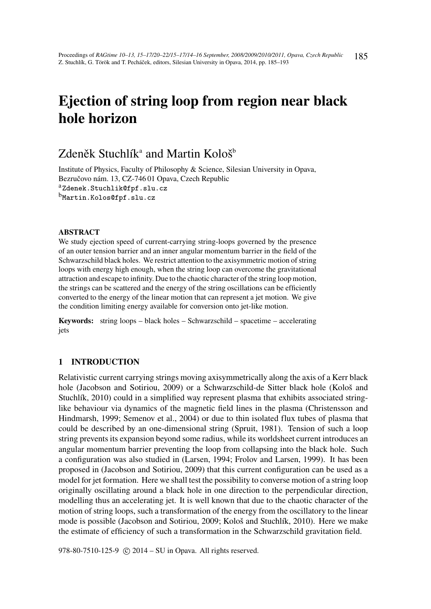# Ejection of string loop from region near black hole horizon

# Zdeněk Stuchlík $^{\rm a}$  and Martin Kološ $^{\rm b}$

Institute of Physics, Faculty of Philosophy & Science, Silesian University in Opava, Bezručovo nám. 13, CZ-746 01 Opava, Czech Republic aZdenek.Stuchlik@fpf.slu.cz <sup>b</sup>Martin.Kolos@fpf.slu.cz

# ABSTRACT

We study ejection speed of current-carrying string-loops governed by the presence of an outer tension barrier and an inner angular momentum barrier in the field of the Schwarzschild black holes. We restrict attention to the axisymmetric motion of string loops with energy high enough, when the string loop can overcome the gravitational attraction and escape to infinity. Due to the chaotic character of the string loop motion, the strings can be scattered and the energy of the string oscillations can be efficiently converted to the energy of the linear motion that can represent a jet motion. We give the condition limiting energy available for conversion onto jet-like motion.

Keywords: string loops – black holes – Schwarzschild – spacetime – accelerating jets

# 1 INTRODUCTION

Relativistic current carrying strings moving axisymmetrically along the axis of a Kerr black hole (Jacobson and Sotiriou, 2009) or a Schwarzschild-de Sitter black hole (Kološ and Stuchlík, 2010) could in a simplified way represent plasma that exhibits associated stringlike behaviour via dynamics of the magnetic field lines in the plasma (Christensson and Hindmarsh, 1999; Semenov et al., 2004) or due to thin isolated flux tubes of plasma that could be described by an one-dimensional string (Spruit, 1981). Tension of such a loop string prevents its expansion beyond some radius, while its worldsheet current introduces an angular momentum barrier preventing the loop from collapsing into the black hole. Such a configuration was also studied in (Larsen, 1994; Frolov and Larsen, 1999). It has been proposed in (Jacobson and Sotiriou, 2009) that this current configuration can be used as a model for jet formation. Here we shall test the possibility to converse motion of a string loop originally oscillating around a black hole in one direction to the perpendicular direction, modelling thus an accelerating jet. It is well known that due to the chaotic character of the motion of string loops, such a transformation of the energy from the oscillatory to the linear mode is possible (Jacobson and Sotiriou, 2009; Kološ and Stuchlík, 2010). Here we make the estimate of efficiency of such a transformation in the Schwarzschild gravitation field.

978-80-7510-125-9 (c) 2014 – SU in Opava. All rights reserved.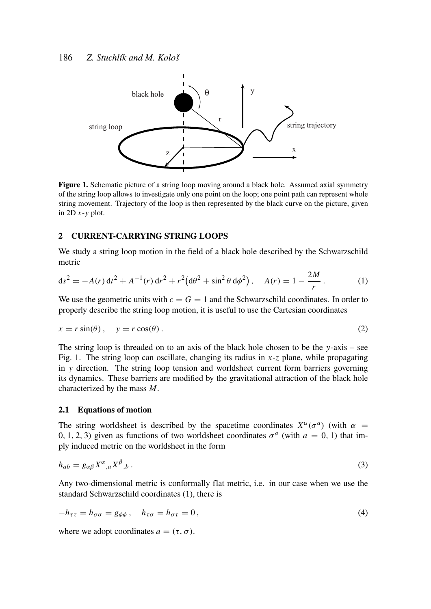

Figure 1. Schematic picture of a string loop moving around a black hole. Assumed axial symmetry of the string loop allows to investigate only one point on the loop; one point path can represent whole string movement. Trajectory of the loop is then represented by the black curve on the picture, given in 2D *x*-*y* plot.

# 2 CURRENT-CARRYING STRING LOOPS

We study a string loop motion in the field of a black hole described by the Schwarzschild metric

$$
ds^{2} = -A(r) dt^{2} + A^{-1}(r) dr^{2} + r^{2} (d\theta^{2} + \sin^{2} \theta d\phi^{2}), \quad A(r) = 1 - \frac{2M}{r}.
$$
 (1)

We use the geometric units with  $c = G = 1$  and the Schwarzschild coordinates. In order to properly describe the string loop motion, it is useful to use the Cartesian coordinates

$$
x = r\sin(\theta), \quad y = r\cos(\theta). \tag{2}
$$

The string loop is threaded on to an axis of the black hole chosen to be the *y*-axis – see Fig. 1. The string loop can oscillate, changing its radius in  $x-z$  plane, while propagating in *y* direction. The string loop tension and worldsheet current form barriers governing its dynamics. These barriers are modified by the gravitational attraction of the black hole characterized by the mass *M*.

# 2.1 Equations of motion

The string worldsheet is described by the spacetime coordinates  $X^{\alpha}(\sigma^a)$  (with  $\alpha =$ 0, 1, 2, 3) given as functions of two worldsheet coordinates  $\sigma^a$  (with  $a = 0, 1$ ) that imply induced metric on the worldsheet in the form

$$
h_{ab} = g_{\alpha\beta} X^{\alpha}{}_{,a} X^{\beta}{}_{,b} \,. \tag{3}
$$

Any two-dimensional metric is conformally flat metric, i.e. in our case when we use the standard Schwarzschild coordinates (1), there is

$$
-h_{\tau\tau} = h_{\sigma\sigma} = g_{\phi\phi} , \quad h_{\tau\sigma} = h_{\sigma\tau} = 0 , \tag{4}
$$

where we adopt coordinates  $a = (\tau, \sigma)$ .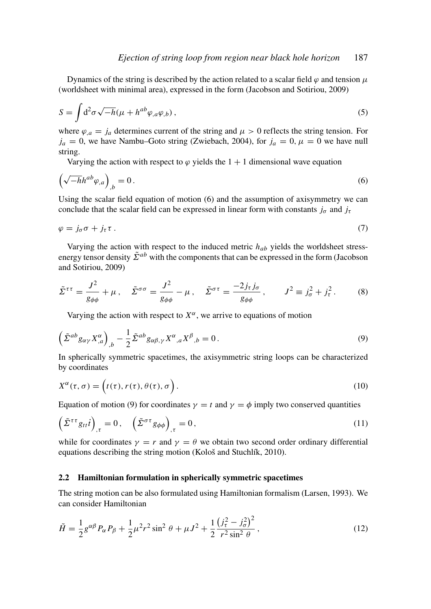Dynamics of the string is described by the action related to a scalar field  $\varphi$  and tension  $\mu$ (worldsheet with minimal area), expressed in the form (Jacobson and Sotiriou, 2009)

$$
S = \int d^2 \sigma \sqrt{-h} (\mu + h^{ab} \varphi_{,a} \varphi_{,b}), \qquad (5)
$$

where  $\varphi_{,a} = j_a$  determines current of the string and  $\mu > 0$  reflects the string tension. For  $j_a = 0$ , we have Nambu–Goto string (Zwiebach, 2004), for  $j_a = 0$ ,  $\mu = 0$  we have null string.

Varying the action with respect to  $\varphi$  yields the 1 + 1 dimensional wave equation

$$
\left(\sqrt{-h}h^{ab}\varphi_{,a}\right)_{,b}=0\,. \tag{6}
$$

Using the scalar field equation of motion (6) and the assumption of axisymmetry we can conclude that the scalar field can be expressed in linear form with constants  $j_{\sigma}$  and  $j_{\tau}$ 

$$
\varphi = j_{\sigma}\sigma + j_{\tau}\tau \tag{7}
$$

Varying the action with respect to the induced metric *hab* yields the worldsheet stressenergy tensor density  $\tilde{\Sigma}^{ab}$  with the components that can be expressed in the form (Jacobson and Sotiriou, 2009)

$$
\tilde{\Sigma}^{\tau\tau} = \frac{J^2}{g_{\phi\phi}} + \mu \,, \quad \tilde{\Sigma}^{\sigma\sigma} = \frac{J^2}{g_{\phi\phi}} - \mu \,, \quad \tilde{\Sigma}^{\sigma\tau} = \frac{-2j_{\tau}j_{\sigma}}{g_{\phi\phi}} \,, \qquad J^2 \equiv j_{\sigma}^2 + j_{\tau}^2 \,. \tag{8}
$$

Varying the action with respect to  $X^{\alpha}$ , we arrive to equations of motion

$$
\left(\tilde{\Sigma}^{ab}g_{\alpha\gamma}X^{\alpha}_{,a}\right)_{,b} - \frac{1}{2}\tilde{\Sigma}^{ab}g_{\alpha\beta,\gamma}X^{\alpha}_{,a}X^{\beta}_{,b} = 0.
$$
\n(9)

In spherically symmetric spacetimes, the axisymmetric string loops can be characterized by coordinates

$$
X^{\alpha}(\tau,\sigma) = \left(t(\tau), r(\tau), \theta(\tau), \sigma\right). \tag{10}
$$

Equation of motion (9) for coordinates  $\gamma = t$  and  $\gamma = \phi$  imply two conserved quantities

$$
\left(\tilde{\Sigma}^{\tau\tau}g_{tt}\dot{t}\right)_{,\tau}=0,\quad\left(\tilde{\Sigma}^{\sigma\tau}g_{\phi\phi}\right)_{,\tau}=0,\tag{11}
$$

while for coordinates  $\gamma = r$  and  $\gamma = \theta$  we obtain two second order ordinary differential equations describing the string motion (Kološ and Stuchlík, 2010).

### 2.2 Hamiltonian formulation in spherically symmetric spacetimes

The string motion can be also formulated using Hamiltonian formalism (Larsen, 1993). We can consider Hamiltonian

$$
\tilde{H} = \frac{1}{2} g^{\alpha \beta} P_{\alpha} P_{\beta} + \frac{1}{2} \mu^2 r^2 \sin^2 \theta + \mu J^2 + \frac{1}{2} \frac{\left(j_r^2 - j_\sigma^2\right)^2}{r^2 \sin^2 \theta},\tag{12}
$$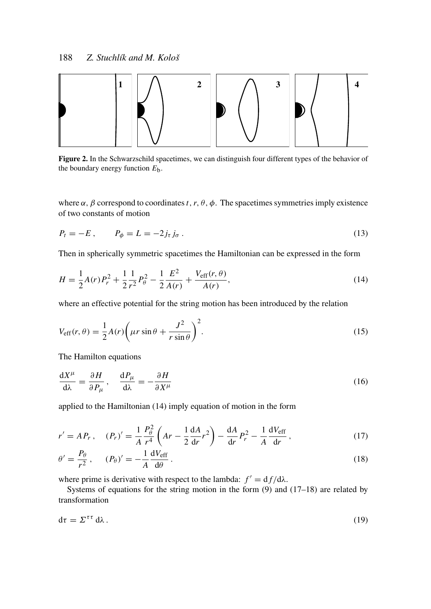

Figure 2. In the Schwarzschild spacetimes, we can distinguish four different types of the behavior of the boundary energy function  $E<sub>b</sub>$ .

where  $\alpha$ ,  $\beta$  correspond to coordinates *t*, *r*,  $\theta$ ,  $\phi$ . The spacetimes symmetries imply existence of two constants of motion

$$
P_t = -E, \qquad P_\phi = L = -2j_\tau j_\sigma. \tag{13}
$$

Then in spherically symmetric spacetimes the Hamiltonian can be expressed in the form

$$
H = \frac{1}{2}A(r)P_r^2 + \frac{1}{2}\frac{1}{r^2}P_\theta^2 - \frac{1}{2}\frac{E^2}{A(r)} + \frac{V_{\text{eff}}(r,\theta)}{A(r)},
$$
(14)

where an effective potential for the string motion has been introduced by the relation

$$
V_{\text{eff}}(r,\theta) = \frac{1}{2}A(r)\left(\mu r \sin \theta + \frac{J^2}{r \sin \theta}\right)^2.
$$
 (15)

The Hamilton equations

$$
\frac{dX^{\mu}}{d\lambda} = \frac{\partial H}{\partial P_{\mu}}, \quad \frac{dP_{\mu}}{d\lambda} = -\frac{\partial H}{\partial X^{\mu}}
$$
(16)

applied to the Hamiltonian (14) imply equation of motion in the form

$$
r' = AP_r, \quad (P_r)' = \frac{1}{A} \frac{P_\theta^2}{r^4} \left( Ar - \frac{1}{2} \frac{dA}{dr} r^2 \right) - \frac{dA}{dr} P_r^2 - \frac{1}{A} \frac{dV_{\text{eff}}}{dr}, \tag{17}
$$

$$
\theta' = \frac{P_{\theta}}{r^2}, \qquad (P_{\theta})' = -\frac{1}{A} \frac{dV_{\text{eff}}}{d\theta}.
$$
\n(18)

where prime is derivative with respect to the lambda:  $f' = df/d\lambda$ .

Systems of equations for the string motion in the form (9) and (17–18) are related by transformation

$$
d\tau = \Sigma^{\tau\tau} d\lambda. \tag{19}
$$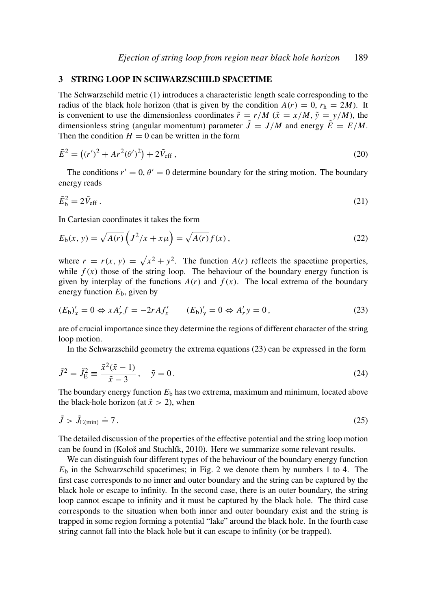#### 3 STRING LOOP IN SCHWARZSCHILD SPACETIME

The Schwarzschild metric (1) introduces a characteristic length scale corresponding to the radius of the black hole horizon (that is given by the condition  $A(r) = 0$ ,  $r<sub>h</sub> = 2M$ ). It is convenient to use the dimensionless coordinates  $\tilde{r} = r/M$  ( $\tilde{x} = x/M$ ,  $\tilde{y} = y/M$ ), the dimensionless string (angular momentum) parameter  $\tilde{J} = J/M$  and energy  $\tilde{E} = E/M$ . Then the condition  $H = 0$  can be written in the form

$$
\tilde{E}^2 = ((r')^2 + Ar^2(\theta')^2) + 2\tilde{V}_{\text{eff}} ,\qquad(20)
$$

The conditions  $r' = 0$ ,  $\theta' = 0$  determine boundary for the string motion. The boundary energy reads

$$
\tilde{E}_b^2 = 2\tilde{V}_{\text{eff}}\,. \tag{21}
$$

In Cartesian coordinates it takes the form

$$
E_{\mathfrak{b}}(x, y) = \sqrt{A(r)} \left( J^2/x + x\mu \right) = \sqrt{A(r)} f(x), \qquad (22)
$$

where  $r = r(x, y) = \sqrt{x^2 + y^2}$ . The function  $A(r)$  reflects the spacetime properties, while  $f(x)$  those of the string loop. The behaviour of the boundary energy function is given by interplay of the functions  $A(r)$  and  $f(x)$ . The local extrema of the boundary energy function  $E<sub>b</sub>$ , given by

$$
(E_{b})'_{x} = 0 \Leftrightarrow x A'_{r} f = -2r A f'_{x} \qquad (E_{b})'_{y} = 0 \Leftrightarrow A'_{r} y = 0,
$$
\n(23)

are of crucial importance since they determine the regions of different character of the string loop motion.

In the Schwarzschild geometry the extrema equations (23) can be expressed in the form

$$
\tilde{J}^2 = \tilde{J}_{\rm E}^2 \equiv \frac{\tilde{x}^2(\tilde{x} - 1)}{\tilde{x} - 3}, \quad \tilde{y} = 0.
$$
 (24)

The boundary energy function  $E<sub>b</sub>$  has two extrema, maximum and minimum, located above the black-hole horizon (at  $\tilde{x} > 2$ ), when

$$
\tilde{J} > \tilde{J}_{\text{E}(\min)} \doteq 7. \tag{25}
$$

The detailed discussion of the properties of the effective potential and the string loop motion can be found in (Kološ and Stuchlík, 2010). Here we summarize some relevant results.

We can distinguish four different types of the behaviour of the boundary energy function  $E<sub>b</sub>$  in the Schwarzschild spacetimes; in Fig. 2 we denote them by numbers 1 to 4. The first case corresponds to no inner and outer boundary and the string can be captured by the black hole or escape to infinity. In the second case, there is an outer boundary, the string loop cannot escape to infinity and it must be captured by the black hole. The third case corresponds to the situation when both inner and outer boundary exist and the string is trapped in some region forming a potential "lake" around the black hole. In the fourth case string cannot fall into the black hole but it can escape to infinity (or be trapped).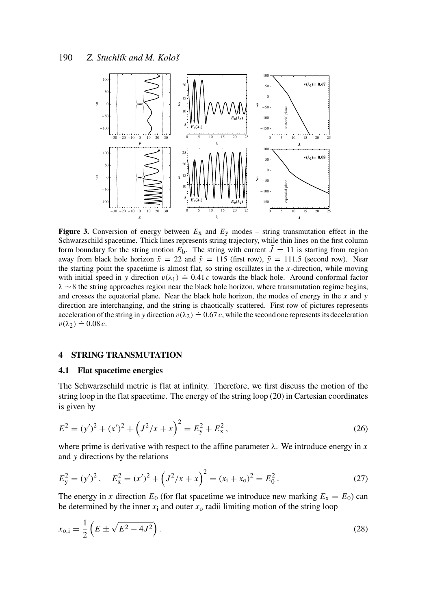

**Figure 3.** Conversion of energy between  $E_x$  and  $E_y$  modes – string transmutation effect in the Schwarzschild spacetime. Thick lines represents string trajectory, while thin lines on the first column form boundary for the string motion  $E_b$ . The string with current  $\tilde{J} = 11$  is starting from region away from black hole horizon  $\tilde{x} = 22$  and  $\tilde{y} = 115$  (first row),  $\tilde{y} = 111.5$  (second row). Near the starting point the spacetime is almost flat, so string oscillates in the *x*-direction, while moving with initial speed in *y* direction  $v(\lambda_1) = 0.41 c$  towards the black hole. Around conformal factor  $\lambda \sim 8$  the string approaches region near the black hole horizon, where transmutation regime begins, and crosses the equatorial plane. Near the black hole horizon, the modes of energy in the *x* and *y* direction are interchanging, and the string is chaotically scattered. First row of pictures represents acceleration of the string in *y* direction  $v(\lambda_2) = 0.67 c$ , while the second one represents its deceleration  $v(\lambda_2) \doteq 0.08 c$ .

# 4 STRING TRANSMUTATION

#### 4.1 Flat spacetime energies

The Schwarzschild metric is flat at infinity. Therefore, we first discuss the motion of the string loop in the flat spacetime. The energy of the string loop (20) in Cartesian coordinates is given by

$$
E^{2} = (y')^{2} + (x')^{2} + (J^{2}/x + x)^{2} = E_{y}^{2} + E_{x}^{2},
$$
\n(26)

where prime is derivative with respect to the affine parameter  $\lambda$ . We introduce energy in *x* and *y* directions by the relations

$$
E_y^2 = (y')^2, \quad E_x^2 = (x')^2 + \left(J^2/x + x\right)^2 = (x_i + x_0)^2 = E_0^2. \tag{27}
$$

The energy in *x* direction  $E_0$  (for flat spacetime we introduce new marking  $E_x = E_0$ ) can be determined by the inner  $x_i$  and outer  $x_0$  radii limiting motion of the string loop

$$
x_{0,i} = \frac{1}{2} \left( E \pm \sqrt{E^2 - 4J^2} \right). \tag{28}
$$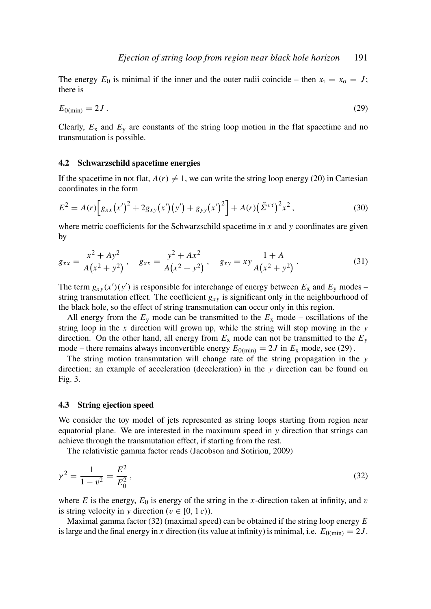The energy  $E_0$  is minimal if the inner and the outer radii coincide – then  $x_i = x_0 = J$ ; there is

$$
E_{0(\min)} = 2J \tag{29}
$$

Clearly,  $E_x$  and  $E_y$  are constants of the string loop motion in the flat spacetime and no transmutation is possible.

#### 4.2 Schwarzschild spacetime energies

If the spacetime in not flat,  $A(r) \neq 1$ , we can write the string loop energy (20) in Cartesian coordinates in the form

$$
E^{2} = A(r) \Big[ g_{xx}(x')^{2} + 2g_{xy}(x')(y') + g_{yy}(x')^{2} \Big] + A(r) (\tilde{\Sigma}^{\tau\tau})^{2} x^{2}, \qquad (30)
$$

where metric coefficients for the Schwarzschild spacetime in *x* and *y* coordinates are given by

$$
g_{xx} = \frac{x^2 + Ay^2}{A(x^2 + y^2)}, \quad g_{xx} = \frac{y^2 + Ax^2}{A(x^2 + y^2)}, \quad g_{xy} = xy\frac{1 + A}{A(x^2 + y^2)}.
$$
 (31)

The term  $g_{xy}(x')(y')$  is responsible for interchange of energy between  $E_x$  and  $E_y$  modes – string transmutation effect. The coefficient  $g_{xy}$  is significant only in the neighbourhood of the black hole, so the effect of string transmutation can occur only in this region.

All energy from the  $E_y$  mode can be transmitted to the  $E_x$  mode – oscillations of the string loop in the *x* direction will grown up, while the string will stop moving in the *y* direction. On the other hand, all energy from  $E_x$  mode can not be transmitted to the  $E_y$ mode – there remains always inconvertible energy  $E_{0(\text{min})} = 2J$  in  $E_x$  mode, see (29).

The string motion transmutation will change rate of the string propagation in the *y* direction; an example of acceleration (deceleration) in the *y* direction can be found on Fig. 3.

#### 4.3 String ejection speed

We consider the toy model of jets represented as string loops starting from region near equatorial plane. We are interested in the maximum speed in *y* direction that strings can achieve through the transmutation effect, if starting from the rest.

The relativistic gamma factor reads (Jacobson and Sotiriou, 2009)

$$
\gamma^2 = \frac{1}{1 - v^2} = \frac{E^2}{E_0^2},\tag{32}
$$

where  $E$  is the energy,  $E_0$  is energy of the string in the *x*-direction taken at infinity, and  $v$ is string velocity in *y* direction ( $v \in [0, 1, c)$ ).

Maximal gamma factor (32) (maximal speed) can be obtained if the string loop energy *E* is large and the final energy in *x* direction (its value at infinity) is minimal, i.e.  $E_{0(\text{min})} = 2J$ .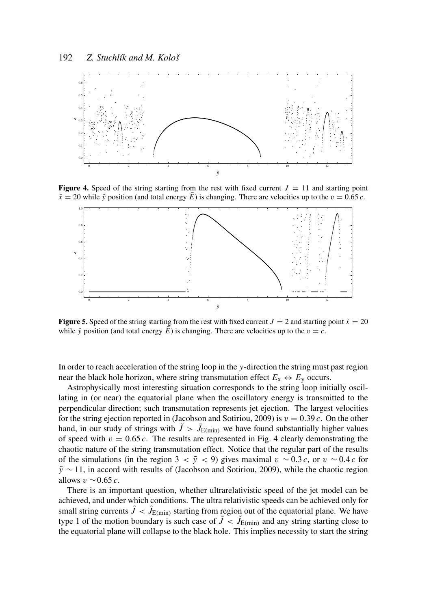

**Figure 4.** Speed of the string starting from the rest with fixed current  $J = 11$  and starting point  $\tilde{x} = 20$  while  $\tilde{y}$  position (and total energy  $\tilde{E}$ ) is changing. There are velocities up to the  $v = 0.65$  *c*.



**Figure 5.** Speed of the string starting from the rest with fixed current  $J = 2$  and starting point  $\tilde{x} = 20$ while  $\tilde{y}$  position (and total energy  $\tilde{E}$ ) is changing. There are velocities up to the  $v = c$ .

In order to reach acceleration of the string loop in the *y*-direction the string must past region near the black hole horizon, where string transmutation effect  $E_x \leftrightarrow E_y$  occurs.

Astrophysically most interesting situation corresponds to the string loop initially oscillating in (or near) the equatorial plane when the oscillatory energy is transmitted to the perpendicular direction; such transmutation represents jet ejection. The largest velocities for the string ejection reported in (Jacobson and Sotiriou, 2009) is  $v = 0.39 c$ . On the other hand, in our study of strings with  $\tilde{J} > \tilde{J}_{E(\text{min})}$  we have found substantially higher values of speed with  $v = 0.65 c$ . The results are represented in Fig. 4 clearly demonstrating the chaotic nature of the string transmutation effect. Notice that the regular part of the results of the simulations (in the region 3 <  $\tilde{y}$  < 9) gives maximal  $v \sim 0.3 c$ , or  $v \sim 0.4 c$  for  $\tilde{y}$  ∼ 11, in accord with results of (Jacobson and Sotiriou, 2009), while the chaotic region allows v ∼0.65 *c*.

There is an important question, whether ultrarelativistic speed of the jet model can be achieved, and under which conditions. The ultra relativistic speeds can be achieved only for small string currents  $\tilde{J} < \tilde{J}_{E(\text{min})}$  starting from region out of the equatorial plane. We have type 1 of the motion boundary is such case of  $\tilde{J} < \tilde{J}_{E(\text{min})}$  and any string starting close to the equatorial plane will collapse to the black hole. This implies necessity to start the string